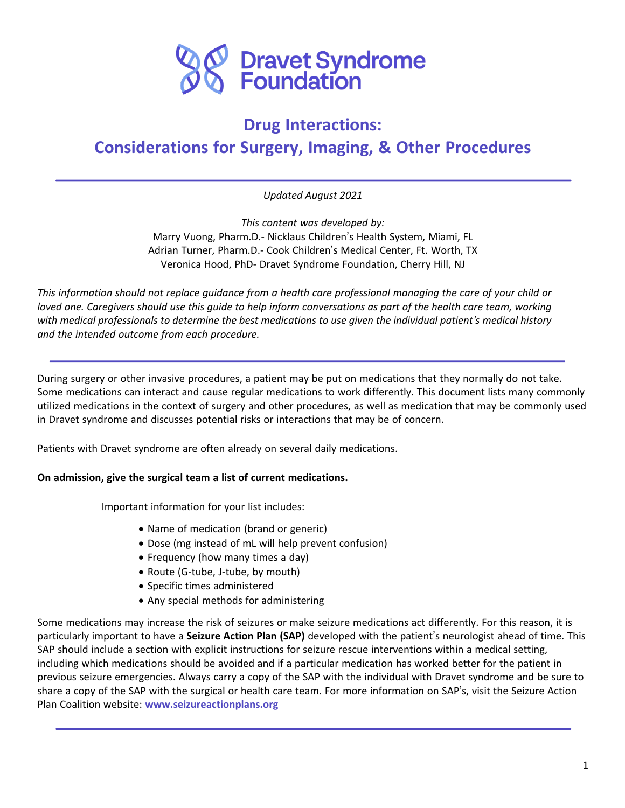

# **Drug Interactions: Considerations for Surgery, Imaging, & Other Procedures**

*Updated August 2021*

*This content was developed by:* Marry Vuong, Pharm.D.- Nicklaus Children's Health System, Miami, FL Adrian Turner, Pharm.D.- Cook Children's Medical Center, Ft. Worth, TX Veronica Hood, PhD- Dravet Syndrome Foundation, Cherry Hill, NJ

This information should not replace quidance from a health care professional managing the care of your child or loved one. Caregivers should use this quide to help inform conversations as part of the health care team, working with medical professionals to determine the best medications to use given the individual patient's medical history *and the intended outcome from each procedure.*

During surgery or other invasive procedures, a patient may be put on medications that they normally do not take. Some medications can interact and cause regular medications to work differently. This document lists many commonly utilized medications in the context of surgery and other procedures, as well as medication that may be commonly used in Dravet syndrome and discusses potential risks or interactions that may be of concern.

Patients with Dravet syndrome are often already on several daily medications.

#### **On admission, give the surgical team a list of current medications.**

Important information for your list includes:

- Name of medication (brand or generic)
- Dose (mg instead of mL will help prevent confusion)
- Frequency (how many times a day)
- Route (G-tube, J-tube, by mouth)
- Specific times administered

j

• Any special methods for administering

Some medications may increase the risk of seizures or make seizure medications act differently. For this reason, it is particularly important to have a **Seizure Action Plan (SAP)** developed with the patient's neurologist ahead of time. This SAP should include a section with explicit instructions for seizure rescue interventions within a medical setting, including which medications should be avoided and if a particular medication has worked better for the patient in previous seizure emergencies. Always carry a copy of the SAP with the individual with Dravet syndrome and be sure to share a copy of the SAP with the surgical or health care team. For more information on SAP's, visit the Seizure Action Plan Coalition website: **www.seizureactionplans.org**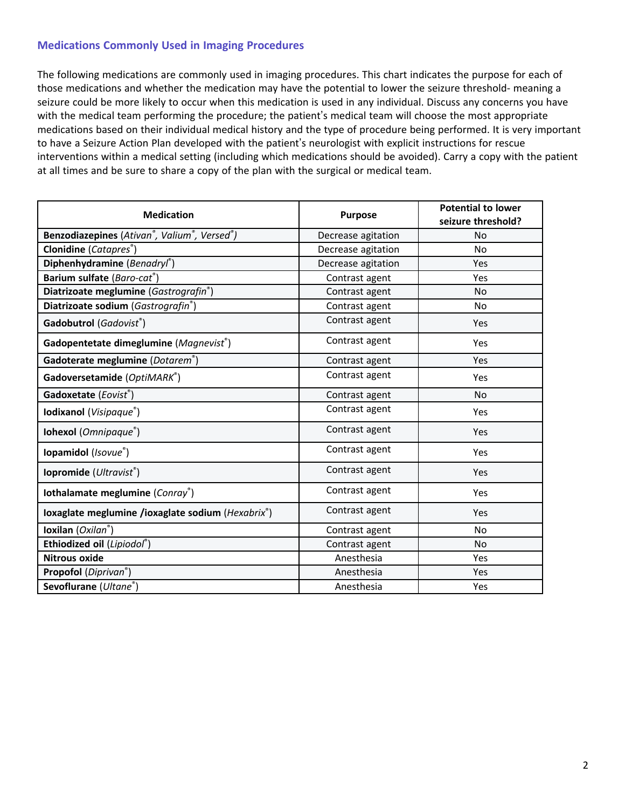# **Medications Commonly Used in Imaging Procedures**

The following medications are commonly used in imaging procedures. This chart indicates the purpose for each of those medications and whether the medication may have the potential to lower the seizure threshold- meaning a seizure could be more likely to occur when this medication is used in any individual. Discuss any concerns you have with the medical team performing the procedure; the patient's medical team will choose the most appropriate medications based on their individual medical history and the type of procedure being performed. It is very important to have a Seizure Action Plan developed with the patient's neurologist with explicit instructions for rescue interventions within a medical setting (including which medications should be avoided). Carry a copy with the patient at all times and be sure to share a copy of the plan with the surgical or medical team.

| <b>Medication</b>                                 | <b>Purpose</b>     | <b>Potential to lower</b><br>seizure threshold? |
|---------------------------------------------------|--------------------|-------------------------------------------------|
| Benzodiazepines (Ativan®, Valium®, Versed®)       | Decrease agitation | No                                              |
| Clonidine (Catapres®)                             | Decrease agitation | <b>No</b>                                       |
| Diphenhydramine (Benadryl®)                       | Decrease agitation | Yes                                             |
| Barium sulfate (Baro-cat®)                        | Contrast agent     | Yes                                             |
| Diatrizoate meglumine (Gastrografin®)             | Contrast agent     | No                                              |
| Diatrizoate sodium (Gastrografin®)                | Contrast agent     | N <sub>o</sub>                                  |
| Gadobutrol (Gadovist®)                            | Contrast agent     | Yes                                             |
| Gadopentetate dimeglumine (Magnevist®)            | Contrast agent     | Yes                                             |
| Gadoterate meglumine (Dotarem®)                   | Contrast agent     | Yes                                             |
| Gadoversetamide (OptiMARK®)                       | Contrast agent     | Yes                                             |
| Gadoxetate (Eovist®)                              | Contrast agent     | No                                              |
| Iodixanol (Visipaque®)                            | Contrast agent     | Yes                                             |
| Iohexol (Omnipaque®)                              | Contrast agent     | Yes                                             |
| Iopamidol (Isovue®)                               | Contrast agent     | Yes                                             |
| lopromide (Ultravist®)                            | Contrast agent     | Yes                                             |
| Iothalamate meglumine (Conray®)                   | Contrast agent     | Yes                                             |
| Ioxaglate meglumine /ioxaglate sodium (Hexabrix®) | Contrast agent     | Yes                                             |
| Ioxilan (Oxilan®)                                 | Contrast agent     | No                                              |
| Ethiodized oil (Lipiodol®)                        | Contrast agent     | No                                              |
| <b>Nitrous oxide</b>                              | Anesthesia         | Yes                                             |
| Propofol (Diprivan <sup>®</sup> )                 | Anesthesia         | Yes                                             |
| Sevoflurane (Ultane®)                             | Anesthesia         | Yes                                             |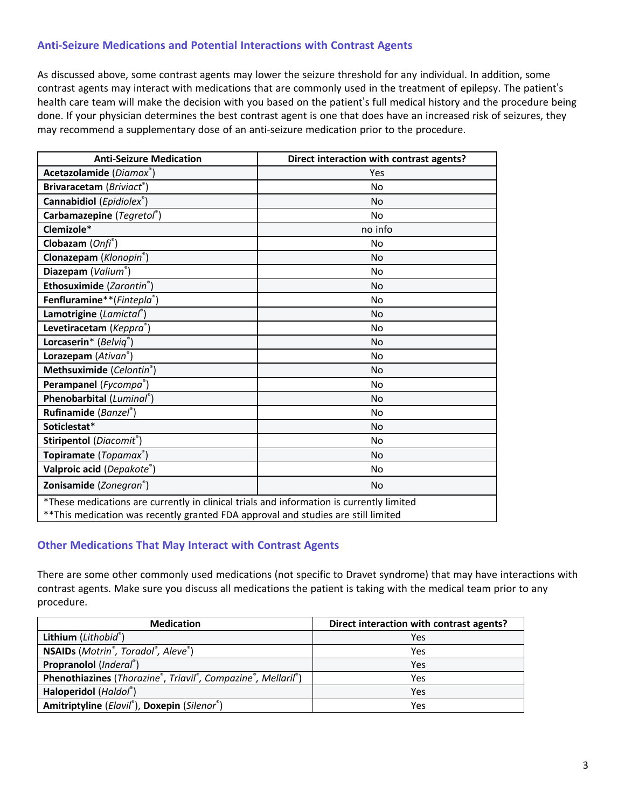## **Anti-Seizure Medications and Potential Interactions with Contrast Agents**

As discussed above, some contrast agents may lower the seizure threshold for any individual. In addition, some contrast agents may interact with medications that are commonly used in the treatment of epilepsy. The patient's health care team will make the decision with you based on the patient's full medical history and the procedure being done. If your physician determines the best contrast agent is one that does have an increased risk of seizures, they may recommend a supplementary dose of an anti-seizure medication prior to the procedure.

| <b>Anti-Seizure Medication</b>                                                                                                                                                 | Direct interaction with contrast agents? |
|--------------------------------------------------------------------------------------------------------------------------------------------------------------------------------|------------------------------------------|
| Acetazolamide (Diamox®)                                                                                                                                                        | Yes                                      |
| Brivaracetam (Briviact®)                                                                                                                                                       | No                                       |
| Cannabidiol (Epidiolex®)                                                                                                                                                       | No                                       |
| Carbamazepine (Tegretol®)                                                                                                                                                      | <b>No</b>                                |
| Clemizole*                                                                                                                                                                     | no info                                  |
| Clobazam (Onfi <sup>®</sup> )                                                                                                                                                  | <b>No</b>                                |
| Clonazepam (Klonopin <sup>®</sup> )                                                                                                                                            | <b>No</b>                                |
| Diazepam (Valium®)                                                                                                                                                             | <b>No</b>                                |
| Ethosuximide (Zarontin®)                                                                                                                                                       | No                                       |
| Fenfluramine**(Fintepla®)                                                                                                                                                      | <b>No</b>                                |
| Lamotrigine (Lamictal®)                                                                                                                                                        | <b>No</b>                                |
| Levetiracetam (Keppra®)                                                                                                                                                        | No                                       |
| Lorcaserin* (Belvig®)                                                                                                                                                          | <b>No</b>                                |
| Lorazepam (Ativan <sup>®</sup> )                                                                                                                                               | <b>No</b>                                |
| Methsuximide (Celontin®)                                                                                                                                                       | <b>No</b>                                |
| Perampanel (Fycompa®)                                                                                                                                                          | No                                       |
| Phenobarbital (Luminal®)                                                                                                                                                       | <b>No</b>                                |
| Rufinamide (Banzel®)                                                                                                                                                           | No                                       |
| Soticlestat*                                                                                                                                                                   | No                                       |
| Stiripentol (Diacomit®)                                                                                                                                                        | <b>No</b>                                |
| Topiramate (Topamax®)                                                                                                                                                          | <b>No</b>                                |
| Valproic acid (Depakote®)                                                                                                                                                      | No                                       |
| Zonisamide (Zonegran®)                                                                                                                                                         | <b>No</b>                                |
| *These medications are currently in clinical trials and information is currently limited<br>** This medication was recently granted FDA approval and studies are still limited |                                          |

## **Other Medications That May Interact with Contrast Agents**

There are some other commonly used medications (not specific to Dravet syndrome) that may have interactions with contrast agents. Make sure you discuss all medications the patient is taking with the medical team prior to any procedure.

| <b>Medication</b>                                                         | Direct interaction with contrast agents? |
|---------------------------------------------------------------------------|------------------------------------------|
| Lithium (Lithobid®)                                                       | Yes                                      |
| NSAIDs (Motrin <sup>®</sup> , Toradol <sup>®</sup> , Aleve <sup>®</sup> ) | Yes                                      |
| Propranolol (Inderal®)                                                    | Yes                                      |
| Phenothiazines (Thorazine®, Triavil®, Compazine®, Mellaril®)              | Yes                                      |
| Haloperidol (Haldol®)                                                     | Yes                                      |
| Amitriptyline (Elavil®), Doxepin (Silenor®)                               | Yes                                      |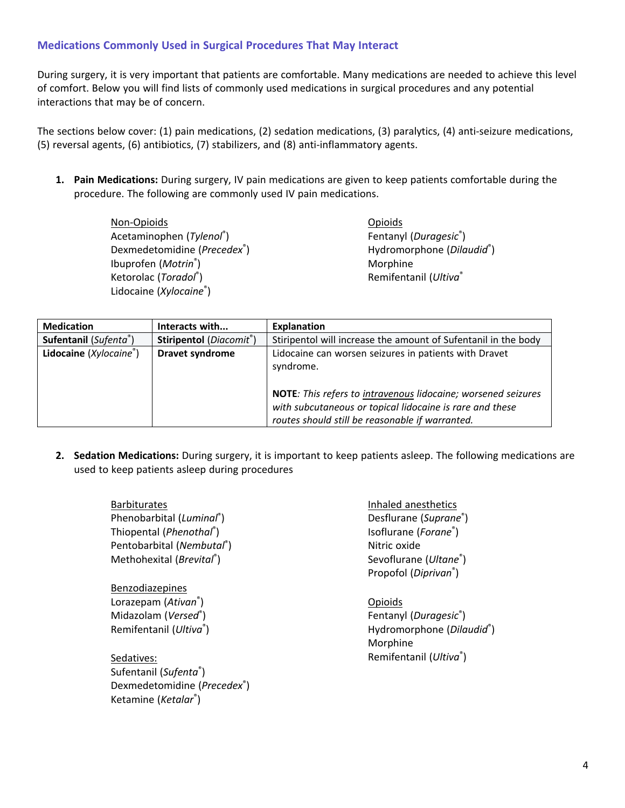## **Medications Commonly Used in Surgical Procedures That May Interact**

During surgery, it is very important that patients are comfortable. Many medications are needed to achieve this level of comfort. Below you will find lists of commonly used medications in surgical procedures and any potential interactions that may be of concern.

The sections below cover: (1) pain medications, (2) sedation medications, (3) paralytics, (4) anti-seizure medications, (5) reversal agents, (6) antibiotics, (7) stabilizers, and (8) anti-inflammatory agents.

**1. Pain Medications:** During surgery, IV pain medications are given to keep patients comfortable during the procedure. The following are commonly used IV pain medications.

> Non-Opioids Acetaminophen (*Tylenol*® ) Dexmedetomidine (*Precedex*® ) Ibuprofen (*Motrin*® ) Ketorolac (*Toradol*® ) Lidocaine (*Xylocaine*® )

Dexmedetomidine (*Precedex*® )

Ketamine (*Ketalar*® )

Opioids Fentanyl (*Duragesic*® ) Hydromorphone (*Dilaudid*® ) Morphine Remifentanil (*Ultiva*®

| <b>Medication</b>      | Interacts with                       | <b>Explanation</b>                                                                                                                                                                                                                                 |
|------------------------|--------------------------------------|----------------------------------------------------------------------------------------------------------------------------------------------------------------------------------------------------------------------------------------------------|
| Sufentanil (Sufenta®)  | Stiripentol (Diacomit <sup>®</sup> ) | Stiripentol will increase the amount of Sufentanil in the body                                                                                                                                                                                     |
| Lidocaine (Xylocaine®) | <b>Dravet syndrome</b>               | Lidocaine can worsen seizures in patients with Dravet<br>syndrome.<br>NOTE: This refers to intravenous lidocaine; worsened seizures<br>with subcutaneous or topical lidocaine is rare and these<br>routes should still be reasonable if warranted. |

**2. Sedation Medications:** During surgery, it is important to keep patients asleep. The following medications are used to keep patients asleep during procedures

| <b>Barbiturates</b>                          | Inhaled anesthetics               |
|----------------------------------------------|-----------------------------------|
| Phenobarbital (Luminal®)                     | Desflurane (Suprane®)             |
| Thiopental ( <i>Phenothal</i> <sup>®</sup> ) | Isoflurane (Forane®)              |
| Pentobarbital (Nembutal®)                    | Nitric oxide                      |
| Methohexital (Brevital®)                     | Sevoflurane (Ultane®)             |
|                                              | Propofol (Diprivan <sup>®</sup> ) |
| <b>Benzodiazepines</b>                       |                                   |
| Lorazepam (Ativan <sup>®</sup> )             | Opioids                           |
| Midazolam (Versed®)                          | Fentanyl (Duragesic®)             |
| Remifentanil (Ultiva®)                       | Hydromorphone (Dilaudid®)         |
|                                              | Morphine                          |
| Sedatives:                                   | Remifentanil (Ultiva®)            |
| Sufentanil (Sufenta®)                        |                                   |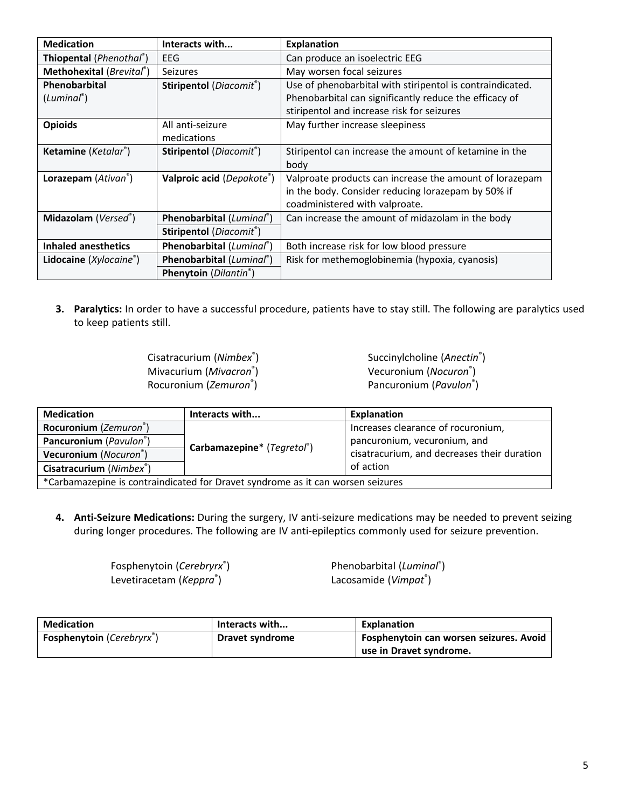| <b>Medication</b>                | Interacts with                                      | <b>Explanation</b>                                        |
|----------------------------------|-----------------------------------------------------|-----------------------------------------------------------|
| Thiopental (Phenothal®)          | EEG                                                 | Can produce an isoelectric EEG                            |
| Methohexital (Brevital®)         | <b>Seizures</b>                                     | May worsen focal seizures                                 |
| Phenobarbital                    | <b>Stiripentol</b> ( <i>Diacomit</i> <sup>®</sup> ) | Use of phenobarbital with stiripentol is contraindicated. |
| $(Luminal^*)$                    |                                                     | Phenobarbital can significantly reduce the efficacy of    |
|                                  |                                                     | stiripentol and increase risk for seizures                |
| <b>Opioids</b>                   | All anti-seizure                                    | May further increase sleepiness                           |
|                                  | medications                                         |                                                           |
| Ketamine (Ketalar®)              | Stiripentol (Diacomit®)                             | Stiripentol can increase the amount of ketamine in the    |
|                                  |                                                     | body                                                      |
| Lorazepam (Ativan <sup>®</sup> ) | Valproic acid (Depakote <sup>®</sup> )              | Valproate products can increase the amount of lorazepam   |
|                                  |                                                     | in the body. Consider reducing lorazepam by 50% if        |
|                                  |                                                     | coadministered with valproate.                            |
| Midazolam (Versed®)              | Phenobarbital (Luminal®)                            | Can increase the amount of midazolam in the body          |
|                                  | Stiripentol (Diacomit®)                             |                                                           |
| Inhaled anesthetics              | Phenobarbital (Luminal®)                            | Both increase risk for low blood pressure                 |
| <b>Lidocaine</b> $(Xylocaine^*)$ | Phenobarbital (Luminal®)                            | Risk for methemoglobinemia (hypoxia, cyanosis)            |
|                                  | <b>Phenytoin</b> ( <i>Dilantin</i> <sup>®</sup> )   |                                                           |

**3. Paralytics:** In order to have a successful procedure, patients have to stay still. The following are paralytics used to keep patients still.

| Cisatracurium (Nimbex®) |
|-------------------------|
| Mivacurium (Mivacron®)  |
| Rocuronium (Zemuron®)   |

Succinylcholine (*Anectin*® ) Vecuronium (*Nocuron*® ) Pancuronium (*Pavulon*® )

| <b>Medication</b>                                                               | Interacts with             | <b>Explanation</b>                          |
|---------------------------------------------------------------------------------|----------------------------|---------------------------------------------|
| Rocuronium (Zemuron®)                                                           | Carbamazepine* (Tegretol®) | Increases clearance of rocuronium,          |
| Pancuronium (Pavulon®)                                                          |                            | pancuronium, vecuronium, and                |
| Vecuronium (Nocuron®)                                                           |                            | cisatracurium, and decreases their duration |
| Cisatracurium (Nimbex <sup>®</sup> )                                            |                            | of action                                   |
| *Carbamazepine is contraindicated for Dravet syndrome as it can worsen seizures |                            |                                             |

**4. Anti-Seizure Medications:** During the surgery, IV anti-seizure medications may be needed to prevent seizing during longer procedures. The following are IV anti-epileptics commonly used for seizure prevention.

> Fosphenytoin (*Cerebryrx*® ) Levetiracetam (*Keppra*® )

Phenobarbital (*Luminal*® ) Lacosamide (*Vimpat*® )

| <b>Medication</b>                             | Interacts with  | <b>Explanation</b>                      |
|-----------------------------------------------|-----------------|-----------------------------------------|
| <b>Fosphenytoin</b> (Cerebryrx <sup>®</sup> ) | Dravet syndrome | Fosphenytoin can worsen seizures. Avoid |
|                                               |                 | use in Dravet syndrome.                 |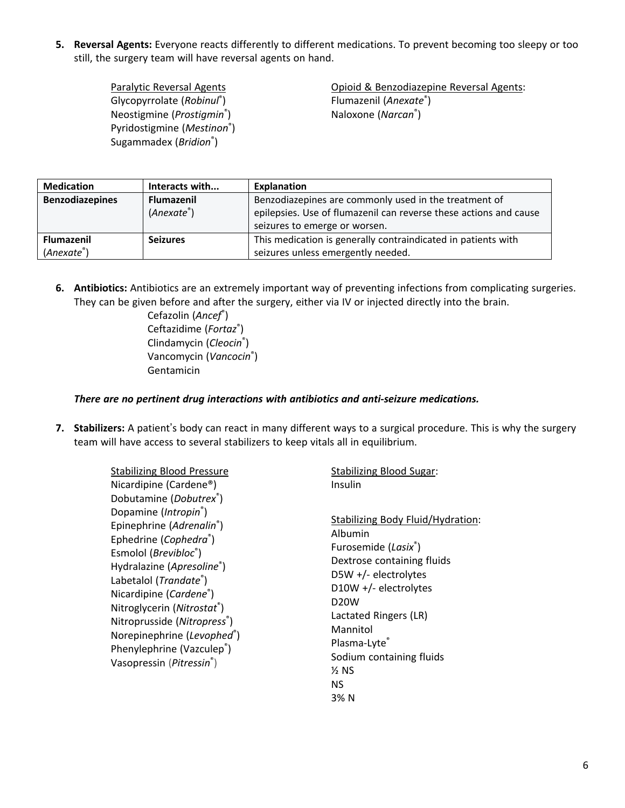**5.** Reversal Agents: Everyone reacts differently to different medications. To prevent becoming too sleepy or too still, the surgery team will have reversal agents on hand.

> Paralytic Reversal Agents Glycopyrrolate (*Robinul*® ) Neostigmine (*Prostigmin*® ) Pyridostigmine (*Mestinon*® ) Sugammadex (*Bridion*® )

Opioid & Benzodiazepine Reversal Agents: Flumazenil (*Anexate*® ) Naloxone (*Narcan*® )

| <b>Medication</b>      | Interacts with          | <b>Explanation</b>                                                |
|------------------------|-------------------------|-------------------------------------------------------------------|
| <b>Benzodiazepines</b> | <b>Flumazenil</b>       | Benzodiazepines are commonly used in the treatment of             |
|                        | (Ahexate <sup>°</sup> ) | epilepsies. Use of flumazenil can reverse these actions and cause |
|                        |                         | seizures to emerge or worsen.                                     |
| <b>Flumazenil</b>      | <b>Seizures</b>         | This medication is generally contraindicated in patients with     |
| $(Anexte^*)$           |                         | seizures unless emergently needed.                                |

**6. Antibiotics:** Antibiotics are an extremely important way of preventing infections from complicating surgeries. They can be given before and after the surgery, either via IV or injected directly into the brain.

> Cefazolin (*Ancef*® ) Ceftazidime (Fortaz®) Clindamycin (*Cleocin*® ) Vancomycin (*Vancocin*® ) Gentamicin

#### *There are no pertinent drug interactions with antibiotics and anti-seizure medications.*

**7. Stabilizers:** A patient's body can react in many different ways to a surgical procedure. This is why the surgery team will have access to several stabilizers to keep vitals all in equilibrium.

> Stabilizing Blood Pressure Nicardipine (Cardene®) Dobutamine (*Dobutrex*® ) Dopamine (*Intropin*® ) Epinephrine (*Adrenalin*® ) Ephedrine (Cophedra<sup>®</sup>) Esmolol (*Brevibloc*® ) Hydralazine (*Apresoline*® ) Labetalol (*Trandate*® ) Nicardipine (*Cardene*® ) Nitroglycerin (*Nitrostat*® ) Nitroprusside (*Nitropress*® ) Norepinephrine (*Levophed*® ) Phenylephrine (Vazculep®) Vasopressin (*Pitressin*® )

Insulin Stabilizing Body Fluid/Hydration: Albumin Furosemide (*Lasix*® ) Dextrose containing fluids D5W +/- electrolytes D10W +/- electrolytes

Stabilizing Blood Sugar:

D20W Lactated Ringers (LR) Mannitol Plasma-Lyte® Sodium containing fluids  $<sub>2</sub>$  NS</sub> NS 3% N